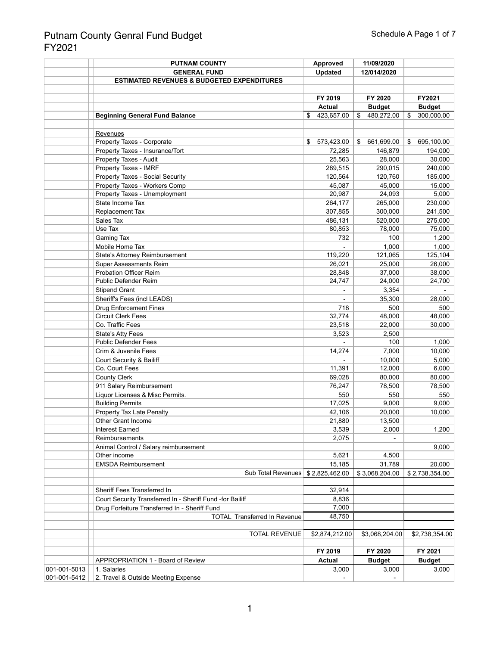|              | <b>PUTNAM COUNTY</b>                                      | <b>Approved</b>  | 11/09/2020       |                  |
|--------------|-----------------------------------------------------------|------------------|------------------|------------------|
|              | <b>GENERAL FUND</b>                                       | <b>Updated</b>   | 12/014/2020      |                  |
|              | <b>ESTIMATED REVENUES &amp; BUDGETED EXPENDITURES</b>     |                  |                  |                  |
|              |                                                           |                  |                  |                  |
|              |                                                           | FY 2019          | FY 2020          | FY2021           |
|              |                                                           | <b>Actual</b>    | <b>Budget</b>    | <b>Budget</b>    |
|              | <b>Beginning General Fund Balance</b>                     | 423,657.00<br>\$ | \$<br>480,272.00 | 300,000.00<br>\$ |
|              |                                                           |                  |                  |                  |
|              |                                                           |                  |                  |                  |
|              | Revenues<br>Property Taxes - Corporate                    | 573,423.00<br>\$ | 661,699.00<br>S. | \$<br>695,100.00 |
|              |                                                           |                  |                  |                  |
|              | Property Taxes - Insurance/Tort                           | 72,285           | 146,879          | 194,000          |
|              | Property Taxes - Audit                                    | 25,563           | 28,000           | 30,000           |
|              | Property Taxes - IMRF                                     | 289,515          | 290,015          | 240,000          |
|              | <b>Property Taxes - Social Security</b>                   | 120,564          | 120,760          | 185,000          |
|              | Property Taxes - Workers Comp                             | 45,087           | 45,000           | 15,000           |
|              | Property Taxes - Unemployment                             | 20,987           | 24,093           | 5,000            |
|              | State Income Tax                                          | 264,177          | 265,000          | 230,000          |
|              | Replacement Tax                                           | 307,855          | 300,000          | 241,500          |
|              | Sales Tax                                                 | 486,131          | 520,000          | 275,000          |
|              | Use Tax                                                   | 80,853           | 78,000           | 75,000           |
|              | Gaming Tax                                                | 732              | 100              | 1,200            |
|              | Mobile Home Tax                                           |                  | 1,000            | 1,000            |
|              | <b>State's Attorney Reimbursement</b>                     | 119,220          | 121,065          | 125,104          |
|              | <b>Super Assessments Reim</b>                             | 26,021           | 25,000           | 26,000           |
|              | <b>Probation Officer Reim</b>                             | 28,848           | 37,000           | 38,000           |
|              | <b>Public Defender Reim</b>                               | 24,747           | 24,000           | 24,700           |
|              | <b>Stipend Grant</b>                                      |                  | 3,354            |                  |
|              |                                                           |                  |                  |                  |
|              | Sheriff's Fees (incl LEADS)                               |                  | 35,300           | 28,000           |
|              | <b>Drug Enforcement Fines</b>                             | 718              | 500              | 500              |
|              | <b>Circuit Clerk Fees</b>                                 | 32,774           | 48,000           | 48,000           |
|              | Co. Traffic Fees                                          | 23,518           | 22,000           | 30,000           |
|              | <b>State's Atty Fees</b>                                  | 3,523            | 2,500            |                  |
|              | <b>Public Defender Fees</b>                               |                  | 100              | 1,000            |
|              | Crim & Juvenile Fees                                      | 14,274           | 7,000            | 10,000           |
|              | <b>Court Security &amp; Bailiff</b>                       |                  | 10,000           | 5,000            |
|              | Co. Court Fees                                            | 11,391           | 12,000           | 6,000            |
|              | <b>County Clerk</b>                                       | 69,028           | 80,000           | 80,000           |
|              | 911 Salary Reimbursement                                  | 76,247           | 78,500           | 78,500           |
|              | Liquor Licenses & Misc Permits.                           | 550              | 550              | 550              |
|              | <b>Building Permits</b>                                   | 17,025           | 9,000            | 9,000            |
|              | Property Tax Late Penalty                                 | 42,106           | 20,000           | 10,000           |
|              | <b>Other Grant Income</b>                                 | 21,880           | 13,500           |                  |
|              | <b>Interest Earned</b>                                    | 3,539            | 2,000            | 1,200            |
|              | Reimbursements                                            | 2,075            |                  |                  |
|              | Animal Control / Salary reimbursement                     |                  |                  | 9,000            |
|              | Other income                                              | 5,621            | 4,500            |                  |
|              |                                                           |                  |                  |                  |
|              | <b>EMSDA Reimbursement</b>                                | 15,185           | 31,789           | 20,000           |
|              | Sub Total Revenues \$2,825,462.00                         |                  | \$3,068,204.00   | \$2,738,354.00   |
|              |                                                           |                  |                  |                  |
|              | Sheriff Fees Transferred In                               | 32,914           |                  |                  |
|              | Court Security Transferred In - Sheriff Fund -for Bailiff | 8,836            |                  |                  |
|              | Drug Forfeiture Transferred In - Sheriff Fund             | 7,000            |                  |                  |
|              | <b>TOTAL Transferred In Revenue</b>                       | 48,750           |                  |                  |
|              |                                                           |                  |                  |                  |
|              | <b>TOTAL REVENUE</b>                                      | \$2,874,212.00   | \$3,068,204.00   | \$2,738,354.00   |
|              |                                                           |                  |                  |                  |
|              |                                                           | FY 2019          | FY 2020          | FY 2021          |
|              | <b>APPROPRIATION 1 - Board of Review</b>                  | <b>Actual</b>    | <b>Budget</b>    | <b>Budget</b>    |
| 001-001-5013 | 1. Salaries                                               | 3,000            | 3,000            | 3,000            |
| 001-001-5412 | 2. Travel & Outside Meeting Expense                       |                  |                  |                  |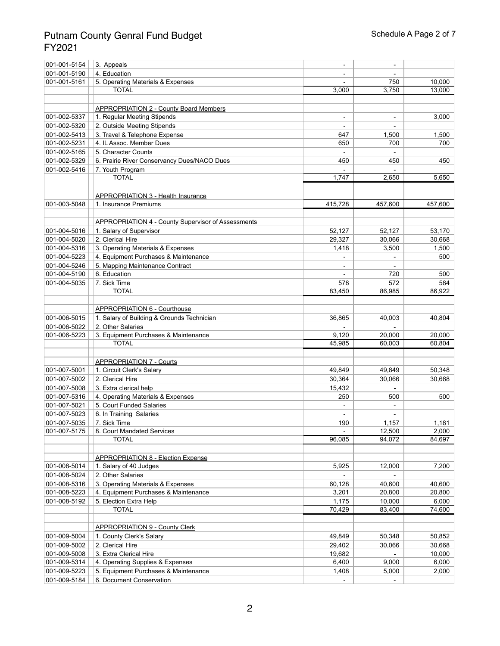| 001-001-5154 | 3. Appeals                                                | $\qquad \qquad \blacksquare$ |         |                    |
|--------------|-----------------------------------------------------------|------------------------------|---------|--------------------|
| 001-001-5190 | 4. Education                                              | $\qquad \qquad \blacksquare$ |         |                    |
| 001-001-5161 | 5. Operating Materials & Expenses                         |                              | 750     | 10,000             |
|              | <b>TOTAL</b>                                              | 3,000                        | 3,750   | 13,000             |
|              |                                                           |                              |         |                    |
|              | <b>APPROPRIATION 2 - County Board Members</b>             |                              |         |                    |
| 001-002-5337 | 1. Regular Meeting Stipends                               | $\overline{\phantom{a}}$     |         | 3,000              |
| 001-002-5320 | 2. Outside Meeting Stipends                               |                              |         |                    |
| 001-002-5413 | 3. Travel & Telephone Expense                             | 647                          | 1,500   | 1,500              |
| 001-002-5231 | 4. IL Assoc. Member Dues                                  | 650                          | 700     | 700                |
| 001-002-5165 | 5. Character Counts                                       |                              |         |                    |
| 001-002-5329 | 6. Prairie River Conservancy Dues/NACO Dues               | 450                          | 450     | 450                |
| 001-002-5416 | 7. Youth Program                                          |                              |         |                    |
|              | <b>TOTAL</b>                                              | 1,747                        | 2,650   | $\overline{5,650}$ |
|              |                                                           |                              |         |                    |
|              | <b>APPROPRIATION 3 - Health Insurance</b>                 |                              |         |                    |
| 001-003-5048 | 1. Insurance Premiums                                     | 415,728                      | 457,600 | 457,600            |
|              |                                                           |                              |         |                    |
|              |                                                           |                              |         |                    |
|              | <b>APPROPRIATION 4 - County Supervisor of Assessments</b> |                              |         |                    |
| 001-004-5016 | 1. Salary of Supervisor                                   | 52,127                       | 52,127  | 53,170             |
| 001-004-5020 | 2. Clerical Hire                                          | 29,327                       | 30,066  | 30,668             |
| 001-004-5316 | 3. Operating Materials & Expenses                         | 1,418                        | 3,500   | 1,500              |
| 001-004-5223 | 4. Equipment Purchases & Maintenance                      |                              |         | 500                |
| 001-004-5246 | 5. Mapping Maintenance Contract                           |                              |         |                    |
| 001-004-5190 | 6. Education                                              |                              | 720     | 500                |
| 001-004-5035 | 7. Sick Time                                              | 578                          | 572     | 584                |
|              | <b>TOTAL</b>                                              | 83,450                       | 86,985  | 86,922             |
|              |                                                           |                              |         |                    |
|              | <b>APPROPRIATION 6 - Courthouse</b>                       |                              |         |                    |
| 001-006-5015 | 1. Salary of Building & Grounds Technician                | 36,865                       | 40,003  | 40,804             |
| 001-006-5022 | 2. Other Salaries                                         |                              |         |                    |
| 001-006-5223 | 3. Equipment Purchases & Maintenance                      | 9,120                        | 20,000  | 20,000             |
|              | <b>TOTAL</b>                                              | 45,985                       | 60,003  | 60,804             |
|              |                                                           |                              |         |                    |
|              | <b>APPROPRIATION 7 - Courts</b>                           |                              |         |                    |
| 001-007-5001 | 1. Circuit Clerk's Salary                                 | 49,849                       | 49,849  | 50,348             |
| 001-007-5002 | 2. Clerical Hire                                          | 30,364                       | 30,066  | 30,668             |
| 001-007-5008 | 3. Extra clerical help                                    | 15,432                       |         |                    |
| 001-007-5316 | 4. Operating Materials & Expenses                         | 250                          | 500     | 500                |
| 001-007-5021 | 5. Court Funded Salaries                                  |                              |         |                    |
| 001-007-5023 | 6. In Training Salaries                                   |                              |         |                    |
| 001-007-5035 | 7. Sick Time                                              | 190                          | 1,157   | 1,181              |
| 001-007-5175 | 8. Court Mandated Services                                |                              | 12,500  | 2,000              |
|              | <b>TOTAL</b>                                              | 96,085                       | 94,072  | 84,697             |
|              |                                                           |                              |         |                    |
|              | <b>APPROPRIATION 8 - Election Expense</b>                 |                              |         |                    |
| 001-008-5014 | 1. Salary of 40 Judges                                    | 5,925                        | 12,000  | 7,200              |
| 001-008-5024 | 2. Other Salaries                                         |                              |         |                    |
| 001-008-5316 | 3. Operating Materials & Expenses                         | 60,128                       | 40,600  | 40,600             |
| 001-008-5223 | 4. Equipment Purchases & Maintenance                      | 3,201                        | 20,800  | 20,800             |
| 001-008-5192 | 5. Election Extra Help                                    | 1,175                        | 10,000  | 6,000              |
|              | <b>TOTAL</b>                                              | 70,429                       | 83,400  | 74,600             |
|              |                                                           |                              |         |                    |
|              | <b>APPROPRIATION 9 - County Clerk</b>                     |                              |         |                    |
| 001-009-5004 | 1. County Clerk's Salary                                  | 49,849                       | 50,348  | 50,852             |
| 001-009-5002 | 2. Clerical Hire                                          | 29,402                       | 30,066  | 30,668             |
| 001-009-5008 | 3. Extra Clerical Hire                                    | 19,682                       |         | 10,000             |
| 001-009-5314 | 4. Operating Supplies & Expenses                          | 6,400                        | 9,000   | 6,000              |
| 001-009-5223 | 5. Equipment Purchases & Maintenance                      | 1,408                        | 5,000   | 2,000              |
| 001-009-5184 | 6. Document Conservation                                  |                              |         |                    |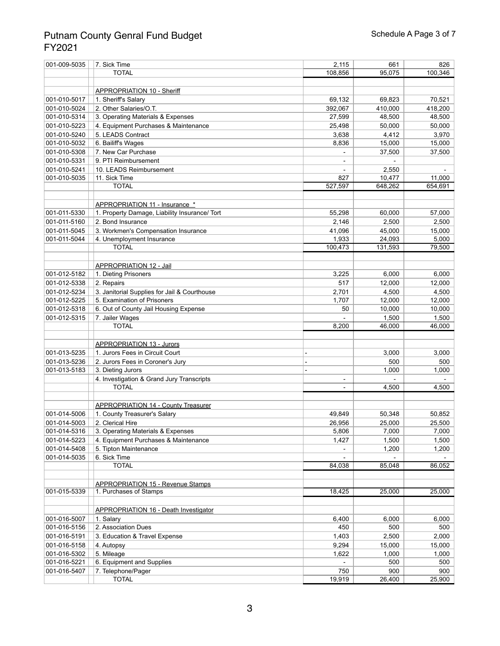| 001-009-5035 | 7. Sick Time                                  | 2,115        | 661          | 826             |
|--------------|-----------------------------------------------|--------------|--------------|-----------------|
|              | <b>TOTAL</b>                                  | 108,856      | 95,075       | 100,346         |
|              |                                               |              |              |                 |
|              | APPROPRIATION 10 - Sheriff                    |              |              |                 |
| 001-010-5017 | 1. Sheriff's Salary                           | 69,132       | 69,823       | 70,521          |
| 001-010-5024 | 2. Other Salaries/O.T.                        | 392,067      | 410,000      | 418,200         |
| 001-010-5314 | 3. Operating Materials & Expenses             | 27,599       | 48,500       | 48,500          |
| 001-010-5223 | 4. Equipment Purchases & Maintenance          | 25,498       | 50,000       | 50,000          |
| 001-010-5240 | 5. LEADS Contract                             | 3,638        | 4,412        | 3,970           |
| 001-010-5032 | 6. Bailiff's Wages                            | 8,836        | 15,000       | 15,000          |
| 001-010-5308 | 7. New Car Purchase                           |              | 37,500       | 37,500          |
| 001-010-5331 | 9. PTI Reimbursement                          |              |              |                 |
| 001-010-5241 | 10. LEADS Reimbursement                       |              | 2,550        |                 |
| 001-010-5035 | 11. Sick Time                                 | 827          | 10,477       | 11,000          |
|              | <b>TOTAL</b>                                  | 527,597      | 648,262      | 654,691         |
|              |                                               |              |              |                 |
|              | APPROPRIATION 11 - Insurance *                |              |              |                 |
| 001-011-5330 | 1. Property Damage, Liability Insurance/ Tort | 55,298       | 60,000       | 57,000          |
|              |                                               |              |              |                 |
| 001-011-5160 | 2. Bond Insurance                             | 2,146        | 2,500        | 2,500           |
| 001-011-5045 | 3. Workmen's Compensation Insurance           | 41,096       | 45,000       | 15,000          |
| 001-011-5044 | 4. Unemployment Insurance                     | 1,933        | 24,093       | 5,000           |
|              | <b>TOTAL</b>                                  | 100,473      | 131,593      | 79,500          |
|              |                                               |              |              |                 |
|              | <b>APPROPRIATION 12 - Jail</b>                |              |              |                 |
| 001-012-5182 | 1. Dieting Prisoners                          | 3,225        | 6,000        | 6,000           |
| 001-012-5338 | 2. Repairs                                    | 517          | 12,000       | 12,000<br>4,500 |
| 001-012-5234 | 3. Janitorial Supplies for Jail & Courthouse  | 2,701        | 4,500        |                 |
| 001-012-5225 | 5. Examination of Prisoners                   | 1,707        | 12,000       | 12,000          |
| 001-012-5318 | 6. Out of County Jail Housing Expense         | 50           | 10,000       | 10,000          |
| 001-012-5315 | 7. Jailer Wages                               |              | 1,500        | 1,500           |
|              | <b>TOTAL</b>                                  | 8,200        | 46,000       | 46,000          |
|              |                                               |              |              |                 |
|              | <b>APPROPRIATION 13 - Jurors</b>              |              |              |                 |
| 001-013-5235 | 1. Jurors Fees in Circuit Court               |              | 3,000        | 3,000           |
| 001-013-5236 | 2. Jurors Fees in Coroner's Jury              |              | 500          | 500             |
| 001-013-5183 | 3. Dieting Jurors                             |              | 1,000        | 1,000           |
|              | 4. Investigation & Grand Jury Transcripts     | -            |              |                 |
|              | <b>TOTAL</b>                                  |              | 4,500        | 4,500           |
|              |                                               |              |              |                 |
|              | <b>APPROPRIATION 14 - County Treasurer</b>    |              |              |                 |
| 001-014-5006 | 1. County Treasurer's Salary                  | 49,849       | 50,348       | 50,852          |
| 001-014-5003 | 2. Clerical Hire                              | 26,956       | 25,000       | 25,500          |
| 001-014-5316 | 3. Operating Materials & Expenses             | 5,806        | 7,000        | 7,000           |
| 001-014-5223 | 4. Equipment Purchases & Maintenance          | 1,427        | 1,500        | 1,500           |
| 001-014-5408 | 5. Tipton Maintenance                         |              | 1,200        | 1,200           |
| 001-014-5035 | 6. Sick Time                                  |              |              |                 |
|              | <b>TOTAL</b>                                  | 84,038       | 85,048       | 86,052          |
|              |                                               |              |              |                 |
|              | <b>APPROPRIATION 15 - Revenue Stamps</b>      |              |              |                 |
| 001-015-5339 | 1. Purchases of Stamps                        | 18,425       | 25,000       | 25,000          |
|              |                                               |              |              |                 |
|              |                                               |              |              |                 |
|              | <b>APPROPRIATION 16 - Death Investigator</b>  |              |              |                 |
| 001-016-5007 | 1. Salary<br>2. Association Dues              | 6,400<br>450 | 6,000<br>500 | 6,000           |
| 001-016-5156 |                                               |              |              | 500             |
| 001-016-5191 | 3. Education & Travel Expense                 | 1,403        | 2,500        | 2,000           |
| 001-016-5158 | 4. Autopsy                                    | 9,294        | 15,000       | 15,000          |
| 001-016-5302 | 5. Mileage                                    | 1,622        | 1,000        | 1,000           |
| 001-016-5221 | 6. Equipment and Supplies                     |              | 500          | 500             |
| 001-016-5407 | 7. Telephone/Pager                            | 750          | 900          | 900             |
|              | <b>TOTAL</b>                                  | 19,919       | 26,400       | 25,900          |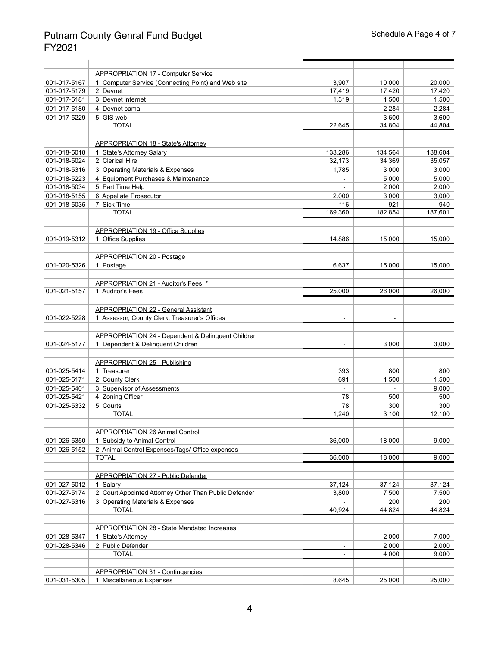|              | <b>APPROPRIATION 17 - Computer Service</b>                           |                          |         |         |
|--------------|----------------------------------------------------------------------|--------------------------|---------|---------|
| 001-017-5167 | 1. Computer Service (Connecting Point) and Web site                  | 3,907                    | 10,000  | 20,000  |
| 001-017-5179 | 2. Devnet                                                            | 17,419                   | 17,420  | 17,420  |
| 001-017-5181 | 3. Devnet internet                                                   | 1,319                    | 1,500   | 1,500   |
| 001-017-5180 | 4. Devnet cama                                                       |                          | 2,284   | 2,284   |
| 001-017-5229 | 5. GIS web                                                           |                          | 3,600   | 3,600   |
|              | <b>TOTAL</b>                                                         | 22,645                   | 34,804  | 44,804  |
|              |                                                                      |                          |         |         |
|              |                                                                      |                          |         |         |
|              | <b>APPROPRIATION 18 - State's Attorney</b>                           |                          |         |         |
| 001-018-5018 | 1. State's Attorney Salary                                           | 133,286                  | 134,564 | 138,604 |
| 001-018-5024 | 2. Clerical Hire                                                     | 32,173                   | 34,369  | 35,057  |
| 001-018-5316 | 3. Operating Materials & Expenses                                    | 1,785                    | 3,000   | 3,000   |
| 001-018-5223 | 4. Equipment Purchases & Maintenance                                 |                          | 5,000   | 5,000   |
| 001-018-5034 | 5. Part Time Help                                                    |                          | 2,000   | 2,000   |
| 001-018-5155 | 6. Appellate Prosecutor                                              | 2,000                    | 3,000   | 3,000   |
| 001-018-5035 | 7. Sick Time                                                         | 116                      | 921     | 940     |
|              | <b>TOTAL</b>                                                         | 169,360                  | 182,854 | 187,601 |
|              |                                                                      |                          |         |         |
|              | <b>APPROPRIATION 19 - Office Supplies</b>                            |                          |         |         |
| 001-019-5312 | 1. Office Supplies                                                   | 14,886                   | 15,000  | 15,000  |
|              |                                                                      |                          |         |         |
|              | <b>APPROPRIATION 20 - Postage</b>                                    |                          |         |         |
| 001-020-5326 | 1. Postage                                                           | 6,637                    | 15,000  | 15,000  |
|              |                                                                      |                          |         |         |
|              | <b>APPROPRIATION 21 - Auditor's Fees *</b>                           |                          |         |         |
| 001-021-5157 | 1. Auditor's Fees                                                    | 25,000                   | 26,000  | 26,000  |
|              |                                                                      |                          |         |         |
|              | <b>APPROPRIATION 22 - General Assistant</b>                          |                          |         |         |
| 001-022-5228 | 1. Assessor, County Clerk, Treasurer's Offices                       | $\overline{\phantom{a}}$ |         |         |
|              |                                                                      |                          |         |         |
|              | <b>APPROPRIATION 24 - Dependent &amp; Delinquent Children</b>        |                          |         |         |
| 001-024-5177 | 1. Dependent & Delinquent Children                                   |                          | 3,000   | 3,000   |
|              |                                                                      |                          |         |         |
|              | <b>APPROPRIATION 25 - Publishing</b>                                 |                          |         |         |
| 001-025-5414 | 1. Treasurer                                                         | 393                      | 800     | 800     |
| 001-025-5171 | 2. County Clerk                                                      | 691                      | 1,500   | 1,500   |
| 001-025-5401 | 3. Supervisor of Assessments                                         |                          |         | 9,000   |
| 001-025-5421 | 4. Zoning Officer                                                    | 78                       | 500     | 500     |
| 001-025-5332 | 5. Courts                                                            | 78                       | 300     | 300     |
|              | <b>TOTAL</b>                                                         | 1,240                    | 3,100   | 12,100  |
|              |                                                                      |                          |         |         |
|              | <b>APPROPRIATION 26 Animal Control</b>                               |                          |         |         |
| 001-026-5350 | 1. Subsidy to Animal Control                                         | 36,000                   | 18,000  | 9,000   |
| 001-026-5152 | 2. Animal Control Expenses/Tags/ Office expenses                     |                          |         |         |
|              | <b>TOTAL</b>                                                         | 36,000                   | 18,000  | 9,000   |
|              |                                                                      |                          |         |         |
|              | <b>APPROPRIATION 27 - Public Defender</b>                            |                          |         |         |
| 001-027-5012 | 1. Salary                                                            | 37,124                   | 37,124  | 37,124  |
| 001-027-5174 | 2. Court Appointed Attorney Other Than Public Defender               | 3,800                    | 7,500   | 7,500   |
| 001-027-5316 | 3. Operating Materials & Expenses                                    |                          | 200     | 200     |
|              | <b>TOTAL</b>                                                         | 40,924                   | 44,824  | 44,824  |
|              |                                                                      |                          |         |         |
|              |                                                                      |                          |         |         |
|              | <b>APPROPRIATION 28 - State Mandated Increases</b>                   |                          |         |         |
| 001-028-5347 | 1. State's Attorney                                                  | $\overline{\phantom{0}}$ | 2,000   | 7,000   |
| 001-028-5346 | 2. Public Defender                                                   |                          | 2,000   | 2,000   |
|              | <b>TOTAL</b>                                                         |                          | 4,000   | 9,000   |
|              |                                                                      |                          |         |         |
| 001-031-5305 | <b>APPROPRIATION 31 - Contingencies</b><br>1. Miscellaneous Expenses | 8,645                    | 25,000  | 25,000  |
|              |                                                                      |                          |         |         |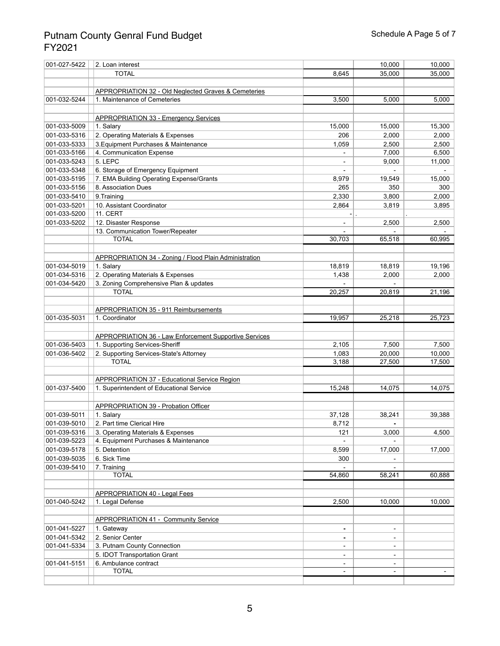| 001-027-5422 | 2. Loan interest                                                |                | 10,000         | 10,000 |
|--------------|-----------------------------------------------------------------|----------------|----------------|--------|
|              | <b>TOTAL</b>                                                    | 8,645          | 35,000         | 35,000 |
|              |                                                                 |                |                |        |
|              | <b>APPROPRIATION 32 - Old Neglected Graves &amp; Cemeteries</b> |                |                |        |
| 001-032-5244 | 1. Maintenance of Cemeteries                                    | 3,500          | 5,000          | 5,000  |
|              |                                                                 |                |                |        |
|              | <b>APPROPRIATION 33 - Emergency Services</b>                    |                |                |        |
| 001-033-5009 | 1. Salary                                                       | 15,000         | 15,000         | 15,300 |
| 001-033-5316 | 2. Operating Materials & Expenses                               | 206            | 2,000          | 2,000  |
| 001-033-5333 | 3. Equipment Purchases & Maintenance                            | 1,059          | 2,500          | 2,500  |
| 001-033-5166 | 4. Communication Expense                                        |                | 7,000          | 6,500  |
| 001-033-5243 | 5. LEPC                                                         |                | 9,000          | 11,000 |
| 001-033-5348 | 6. Storage of Emergency Equipment                               |                |                |        |
| 001-033-5195 | 7. EMA Building Operating Expense/Grants                        | 8,979          | 19,549         | 15,000 |
| 001-033-5156 | 8. Association Dues                                             | 265            | 350            | 300    |
| 001-033-5410 | 9. Training                                                     | 2,330          | 3,800          | 2,000  |
| 001-033-5201 | 10. Assistant Coordinator                                       | 2,864          | 3,819          | 3,895  |
| 001-033-5200 | 11. CERT                                                        |                |                |        |
| 001-033-5202 | 12. Disaster Response                                           |                | 2,500          | 2,500  |
|              | 13. Communication Tower/Repeater                                |                |                |        |
|              | <b>TOTAL</b>                                                    | 30,703         | 65,518         | 60,995 |
|              |                                                                 |                |                |        |
|              | <b>APPROPRIATION 34 - Zoning / Flood Plain Administration</b>   |                |                |        |
| 001-034-5019 | 1. Salary                                                       | 18,819         | 18,819         | 19,196 |
| 001-034-5316 | 2. Operating Materials & Expenses                               | 1,438          | 2,000          | 2,000  |
| 001-034-5420 | 3. Zoning Comprehensive Plan & updates                          |                |                |        |
|              | <b>TOTAL</b>                                                    | 20,257         | 20,819         | 21,196 |
|              |                                                                 |                |                |        |
|              | <b>APPROPRIATION 35 - 911 Reimbursements</b>                    |                |                |        |
| 001-035-5031 | 1. Coordinator                                                  | 19,957         | 25,218         | 25,723 |
|              |                                                                 |                |                |        |
|              | <b>APPROPRIATION 36 - Law Enforcement Supportive Services</b>   |                |                |        |
| 001-036-5403 | 1. Supporting Services-Sheriff                                  | 2,105          | 7,500          | 7,500  |
| 001-036-5402 | 2. Supporting Services-State's Attorney                         | 1,083          | 20,000         | 10,000 |
|              | <b>TOTAL</b>                                                    | 3,188          | 27,500         | 17,500 |
|              |                                                                 |                |                |        |
|              | <b>APPROPRIATION 37 - Educational Service Region</b>            |                |                |        |
| 001-037-5400 | 1. Superintendent of Educational Service                        | 15,248         | 14,075         | 14,075 |
|              |                                                                 |                |                |        |
|              | <b>APPROPRIATION 39 - Probation Officer</b>                     |                |                |        |
| 001-039-5011 | 1. Salary                                                       | 37,128         | 38,241         | 39,388 |
| 001-039-5010 | 2. Part time Clerical Hire                                      | 8,712          |                |        |
| 001-039-5316 | 3. Operating Materials & Expenses                               | 121            |                | 4,500  |
| 001-039-5223 | 4. Equipment Purchases & Maintenance                            |                | 3,000          |        |
| 001-039-5178 | 5. Detention                                                    | 8,599          | 17,000         | 17,000 |
| 001-039-5035 | 6. Sick Time                                                    | 300            |                |        |
|              |                                                                 |                |                |        |
| 001-039-5410 | 7. Training<br><b>TOTAL</b>                                     | 54,860         | 58,241         | 60,888 |
|              |                                                                 |                |                |        |
|              |                                                                 |                |                |        |
| 001-040-5242 | <b>APPROPRIATION 40 - Legal Fees</b><br>1. Legal Defense        | 2,500          | 10,000         | 10,000 |
|              |                                                                 |                |                |        |
|              |                                                                 |                |                |        |
|              | <b>APPROPRIATION 41 - Community Service</b>                     |                |                |        |
| 001-041-5227 | 1. Gateway                                                      | $\blacksquare$ | $\blacksquare$ |        |
| 001-041-5342 | 2. Senior Center                                                |                |                |        |
| 001-041-5334 | 3. Putnam County Connection                                     |                |                |        |
|              | 5. IDOT Transportation Grant                                    |                | $\blacksquare$ |        |
| 001-041-5151 | 6. Ambulance contract<br><b>TOTAL</b>                           |                |                |        |
|              |                                                                 |                |                |        |
|              |                                                                 |                |                |        |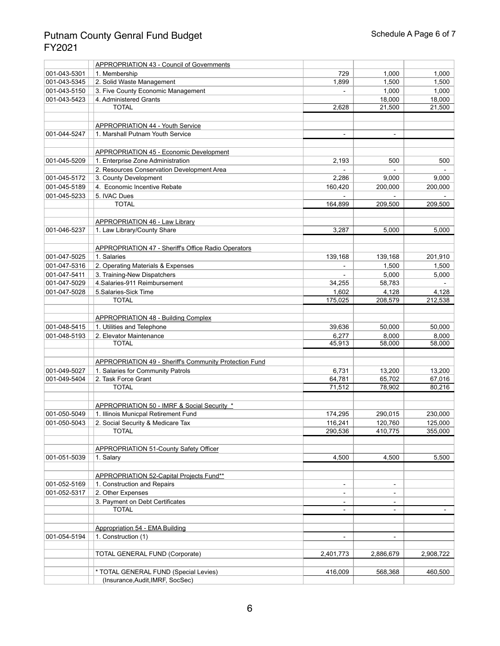|              | <b>APPROPRIATION 43 - Council of Governments</b>              |                          |                          |                 |
|--------------|---------------------------------------------------------------|--------------------------|--------------------------|-----------------|
| 001-043-5301 | 1. Membership                                                 | 729                      | 1,000                    | 1,000           |
| 001-043-5345 | 2. Solid Waste Management                                     | 1,899                    | 1,500                    | 1,500           |
| 001-043-5150 | 3. Five County Economic Management                            |                          | 1,000                    | 1,000           |
| 001-043-5423 | 4. Administered Grants                                        |                          | 18,000                   | 18,000          |
|              | <b>TOTAL</b>                                                  | 2,628                    | 21,500                   | 21,500          |
|              |                                                               |                          |                          |                 |
|              | <b>APPROPRIATION 44 - Youth Service</b>                       |                          |                          |                 |
| 001-044-5247 | 1. Marshall Putnam Youth Service                              | $\blacksquare$           | $\blacksquare$           |                 |
|              |                                                               |                          |                          |                 |
|              | <b>APPROPRIATION 45 - Economic Development</b>                |                          |                          |                 |
| 001-045-5209 | 1. Enterprise Zone Administration                             | 2,193                    | 500                      | 500             |
|              | 2. Resources Conservation Development Area                    |                          |                          |                 |
| 001-045-5172 | 3. County Development                                         | 2,286                    | 9,000                    | 9,000           |
| 001-045-5189 | 4. Economic Incentive Rebate                                  | 160,420                  | 200,000                  | 200,000         |
| 001-045-5233 | 5. IVAC Dues                                                  |                          |                          |                 |
|              | <b>TOTAL</b>                                                  | 164,899                  | 209,500                  | 209,500         |
|              |                                                               |                          |                          |                 |
|              | <b>APPROPRIATION 46 - Law Library</b>                         |                          |                          |                 |
| 001-046-5237 | 1. Law Library/County Share                                   | 3,287                    | 5,000                    | 5,000           |
|              |                                                               |                          |                          |                 |
|              | APPROPRIATION 47 - Sheriff's Office Radio Operators           |                          |                          |                 |
| 001-047-5025 | 1. Salaries                                                   | 139,168                  | 139,168                  | 201,910         |
| 001-047-5316 | 2. Operating Materials & Expenses                             |                          | 1,500                    | 1,500           |
| 001-047-5411 | 3. Training-New Dispatchers                                   |                          | 5,000                    | 5,000           |
| 001-047-5029 | 4. Salaries-911 Reimbursement                                 | 34,255                   | 58,783                   |                 |
| 001-047-5028 | 5. Salaries-Sick Time                                         | 1,602                    | 4,128                    | 4,128           |
|              | <b>TOTAL</b>                                                  | 175,025                  | 208,579                  | 212,538         |
|              |                                                               |                          |                          |                 |
|              | <b>APPROPRIATION 48 - Building Complex</b>                    |                          |                          |                 |
| 001-048-5415 | 1. Utilities and Telephone                                    | 39,636                   | 50,000                   | 50,000          |
| 001-048-5193 | 2. Elevator Maintenance                                       | 6,277                    | 8,000                    | 8,000<br>58,000 |
|              | <b>TOTAL</b>                                                  | 45,913                   | 58,000                   |                 |
|              | <b>APPROPRIATION 49 - Sheriff's Community Protection Fund</b> |                          |                          |                 |
| 001-049-5027 | 1. Salaries for Community Patrols                             | 6,731                    | 13,200                   | 13,200          |
| 001-049-5404 | 2. Task Force Grant                                           | 64,781                   | 65,702                   | 67,016          |
|              | <b>TOTAL</b>                                                  | 71,512                   | 78,902                   | 80,216          |
|              |                                                               |                          |                          |                 |
|              | APPROPRIATION 50 - IMRF & Social Security *                   |                          |                          |                 |
| 001-050-5049 | 1. Illinois Municpal Retirement Fund                          | 174,295                  | 290,015                  | 230,000         |
| 001-050-5043 | 2. Social Security & Medicare Tax                             | 116,241                  | 120,760                  | 125,000         |
|              | <b>TOTAL</b>                                                  | 290,536                  | 410,775                  | 355,000         |
|              |                                                               |                          |                          |                 |
|              | <b>APPROPRIATION 51-County Safety Officer</b>                 |                          |                          |                 |
| 001-051-5039 | 1. Salary                                                     | 4,500                    | 4,500                    | 5,500           |
|              |                                                               |                          |                          |                 |
|              | APPROPRIATION 52-Capital Projects Fund**                      |                          |                          |                 |
| 001-052-5169 | 1. Construction and Repairs                                   | $\overline{\phantom{a}}$ | $\blacksquare$           |                 |
| 001-052-5317 | 2. Other Expenses                                             |                          | $\overline{\phantom{a}}$ |                 |
|              | 3. Payment on Debt Certificates                               |                          | ۰.                       |                 |
|              | <b>TOTAL</b>                                                  |                          |                          |                 |
|              |                                                               |                          |                          |                 |
|              | <b>Appropriation 54 - EMA Building</b>                        |                          |                          |                 |
| 001-054-5194 | 1. Construction (1)                                           |                          |                          |                 |
|              |                                                               |                          |                          |                 |
|              | <b>TOTAL GENERAL FUND (Corporate)</b>                         | 2,401,773                | 2,886,679                | 2,908,722       |
|              |                                                               |                          |                          |                 |
|              | * TOTAL GENERAL FUND (Special Levies)                         | 416,009                  | 568,368                  | 460,500         |
|              | (Insurance, Audit, IMRF, SocSec)                              |                          |                          |                 |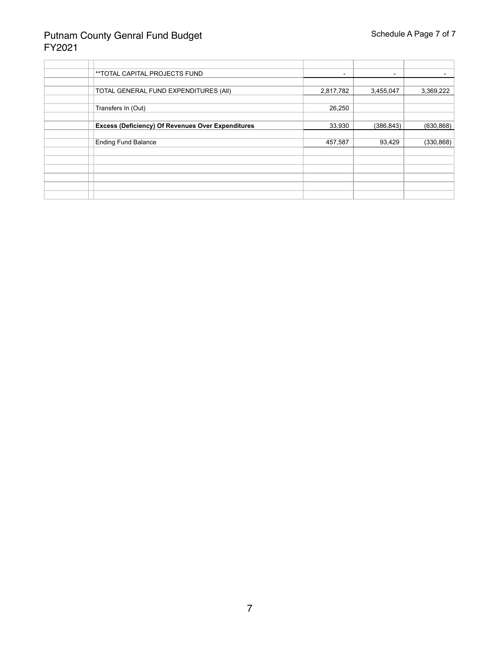| **TOTAL CAPITAL PROJECTS FUND                            | $\qquad \qquad \blacksquare$ | $\overline{\phantom{0}}$ |            |
|----------------------------------------------------------|------------------------------|--------------------------|------------|
|                                                          |                              |                          |            |
| TOTAL GENERAL FUND EXPENDITURES (All)                    | 2,817,782                    | 3,455,047                | 3,369,222  |
|                                                          |                              |                          |            |
| Transfers In (Out)                                       | 26,250                       |                          |            |
|                                                          |                              |                          |            |
| <b>Excess (Deficiency) Of Revenues Over Expenditures</b> | 33,930                       | (386, 843)               | (630, 868) |
|                                                          |                              |                          |            |
| <b>Ending Fund Balance</b>                               | 457,587                      | 93,429                   | (330, 868) |
|                                                          |                              |                          |            |
|                                                          |                              |                          |            |
|                                                          |                              |                          |            |
|                                                          |                              |                          |            |
|                                                          |                              |                          |            |
|                                                          |                              |                          |            |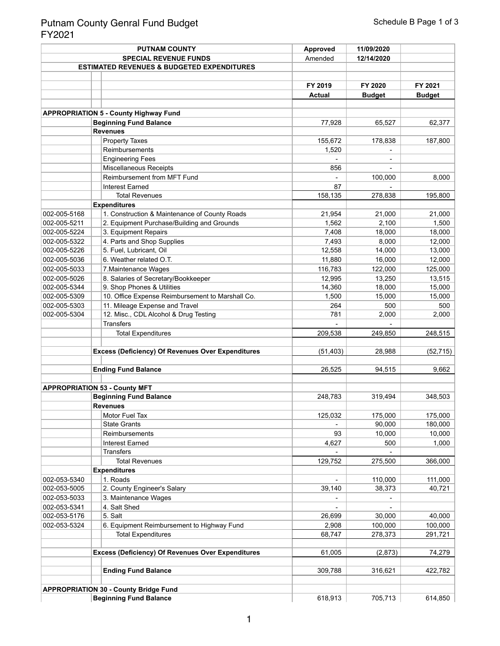|              |                              | <b>PUTNAM COUNTY</b>                                     | <b>Approved</b> | 11/09/2020       |                   |
|--------------|------------------------------|----------------------------------------------------------|-----------------|------------------|-------------------|
|              | <b>SPECIAL REVENUE FUNDS</b> |                                                          | Amended         | 12/14/2020       |                   |
|              |                              | <b>ESTIMATED REVENUES &amp; BUDGETED EXPENDITURES</b>    |                 |                  |                   |
|              |                              |                                                          |                 |                  |                   |
|              |                              |                                                          | FY 2019         | FY 2020          | FY 2021           |
|              |                              |                                                          | <b>Actual</b>   | <b>Budget</b>    | <b>Budget</b>     |
|              |                              |                                                          |                 |                  |                   |
|              |                              | <b>APPROPRIATION 5 - County Highway Fund</b>             |                 |                  |                   |
|              |                              | <b>Beginning Fund Balance</b>                            | 77,928          | 65,527           | 62,377            |
|              |                              | <b>Revenues</b>                                          |                 |                  |                   |
|              |                              | <b>Property Taxes</b>                                    | 155,672         | 178,838          | 187,800           |
|              |                              | Reimbursements                                           | 1,520           |                  |                   |
|              |                              | <b>Engineering Fees</b>                                  |                 |                  |                   |
|              |                              | <b>Miscellaneous Receipts</b>                            | 856             |                  |                   |
|              |                              | Reimbursement from MFT Fund                              |                 | 100,000          | 8,000             |
|              |                              | <b>Interest Earned</b>                                   | 87              |                  |                   |
|              |                              | <b>Total Revenues</b>                                    | 158,135         | 278,838          | 195,800           |
|              |                              | <b>Expenditures</b>                                      |                 |                  |                   |
| 002-005-5168 |                              | 1. Construction & Maintenance of County Roads            | 21,954          | 21,000           | 21,000            |
| 002-005-5211 |                              | 2. Equipment Purchase/Building and Grounds               | 1,562           | 2,100            | 1,500             |
| 002-005-5224 |                              | 3. Equipment Repairs                                     | 7,408           | 18,000           | 18,000            |
| 002-005-5322 |                              | 4. Parts and Shop Supplies                               | 7,493           | 8,000            | 12,000            |
| 002-005-5226 |                              | 5. Fuel, Lubricant, Oil                                  | 12,558          | 14,000           | 13,000            |
| 002-005-5036 |                              | 6. Weather related O.T.                                  | 11,880          | 16,000           | 12,000            |
| 002-005-5033 |                              | 7. Maintenance Wages                                     | 116,783         | 122,000          | 125,000           |
| 002-005-5026 |                              | 8. Salaries of Secretary/Bookkeeper                      | 12,995          | 13,250           | 13,515            |
| 002-005-5344 |                              | 9. Shop Phones & Utilities                               | 14,360          | 18,000           | 15,000            |
| 002-005-5309 |                              | 10. Office Expense Reimbursement to Marshall Co.         | 1,500           | 15,000           | 15,000            |
| 002-005-5303 |                              | 11. Mileage Expense and Travel                           | 264             | 500              | 500               |
| 002-005-5304 |                              | 12. Misc., CDL Alcohol & Drug Testing                    | 781             | 2,000            | 2,000             |
|              |                              | <b>Transfers</b>                                         |                 |                  |                   |
|              |                              | <b>Total Expenditures</b>                                | 209,538         | 249,850          | 248,515           |
|              |                              |                                                          |                 |                  |                   |
|              |                              | <b>Excess (Deficiency) Of Revenues Over Expenditures</b> | (51, 403)       | 28,988           | (52, 715)         |
|              |                              |                                                          |                 |                  |                   |
|              |                              | <b>Ending Fund Balance</b>                               | 26,525          | 94,515           | 9,662             |
|              |                              |                                                          |                 |                  |                   |
|              |                              | <b>APPROPRIATION 53 - County MFT</b>                     |                 |                  |                   |
|              |                              | <b>Beginning Fund Balance</b>                            | 248,783         | 319,494          | 348,503           |
|              |                              | <b>Revenues</b>                                          |                 |                  |                   |
|              |                              | Motor Fuel Tax<br><b>State Grants</b>                    | 125,032         | 175,000          | 175,000           |
|              |                              | Reimbursements                                           | 93              | 90,000<br>10,000 | 180,000<br>10,000 |
|              |                              | <b>Interest Earned</b>                                   |                 | 500              |                   |
|              |                              | <b>Transfers</b>                                         | 4,627           |                  | 1,000             |
|              |                              | <b>Total Revenues</b>                                    | 129,752         | 275,500          | 366,000           |
|              |                              | <b>Expenditures</b>                                      |                 |                  |                   |
| 002-053-5340 |                              | 1. Roads                                                 |                 | 110,000          | 111,000           |
| 002-053-5005 |                              | 2. County Engineer's Salary                              | 39,140          | 38,373           | 40,721            |
| 002-053-5033 |                              | 3. Maintenance Wages                                     |                 |                  |                   |
| 002-053-5341 |                              | 4. Salt Shed                                             |                 |                  |                   |
| 002-053-5176 |                              | 5. Salt                                                  | 26,699          | 30,000           | 40,000            |
| 002-053-5324 |                              | 6. Equipment Reimbursement to Highway Fund               | 2,908           | 100,000          | 100,000           |
|              |                              | <b>Total Expenditures</b>                                | 68,747          | 278,373          | 291,721           |
|              |                              |                                                          |                 |                  |                   |
|              |                              | <b>Excess (Deficiency) Of Revenues Over Expenditures</b> | 61,005          | (2,873)          | 74,279            |
|              |                              |                                                          |                 |                  |                   |
|              |                              | <b>Ending Fund Balance</b>                               | 309,788         | 316,621          | 422,782           |
|              |                              |                                                          |                 |                  |                   |
|              |                              | <b>APPROPRIATION 30 - County Bridge Fund</b>             |                 |                  |                   |
|              |                              | <b>Beginning Fund Balance</b>                            | 618,913         | 705,713          | 614,850           |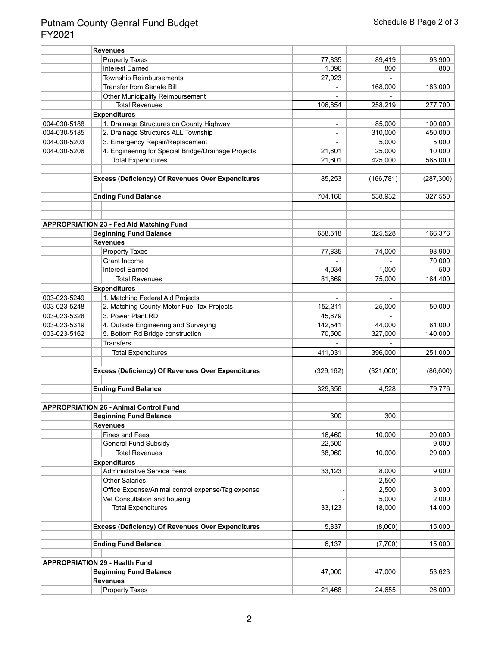|              | <b>Revenues</b>                                          |            |            |            |
|--------------|----------------------------------------------------------|------------|------------|------------|
|              | <b>Property Taxes</b>                                    | 77,835     | 89,419     | 93,900     |
|              | <b>Interest Earned</b>                                   | 1,096      | 800        | 800        |
|              | <b>Township Reimbursements</b>                           | 27,923     |            |            |
|              | <b>Transfer from Senate Bill</b>                         |            | 168,000    | 183,000    |
|              | <b>Other Municipality Reimbursement</b>                  |            |            |            |
|              | <b>Total Revenues</b>                                    | 106,854    | 258,219    | 277,700    |
|              | <b>Expenditures</b>                                      |            |            |            |
| 004-030-5188 | 1. Drainage Structures on County Highway                 |            | 85,000     | 100,000    |
| 004-030-5185 | 2. Drainage Structures ALL Township                      |            | 310,000    | 450,000    |
| 004-030-5203 | 3. Emergency Repair/Replacement                          |            | 5,000      | 5,000      |
| 004-030-5206 | 4. Engineering for Special Bridge/Drainage Projects      | 21,601     | 25,000     | 10,000     |
|              | <b>Total Expenditures</b>                                | 21,601     | 425,000    | 565,000    |
|              |                                                          |            |            |            |
|              | <b>Excess (Deficiency) Of Revenues Over Expenditures</b> | 85,253     | (166, 781) | (287, 300) |
|              |                                                          |            |            |            |
|              | <b>Ending Fund Balance</b>                               | 704,166    | 538,932    | 327,550    |
|              | <b>APPROPRIATION 23 - Fed Aid Matching Fund</b>          |            |            |            |
|              | <b>Beginning Fund Balance</b>                            |            |            |            |
|              | <b>Revenues</b>                                          | 658,518    | 325,528    | 166,376    |
|              | <b>Property Taxes</b>                                    | 77,835     | 74,000     | 93,900     |
|              | Grant Income                                             |            |            | 70,000     |
|              | <b>Interest Earned</b>                                   | 4,034      | 1,000      | 500        |
|              | <b>Total Revenues</b>                                    | 81,869     | 75,000     | 164,400    |
|              | <b>Expenditures</b>                                      |            |            |            |
| 003-023-5249 | 1. Matching Federal Aid Projects                         |            |            |            |
| 003-023-5248 | 2. Matching County Motor Fuel Tax Projects               | 152,311    | 25,000     | 50,000     |
| 003-023-5328 | 3. Power Plant RD                                        | 45,679     |            |            |
| 003-023-5319 | 4. Outside Engineering and Surveying                     | 142,541    | 44,000     | 61,000     |
| 003-023-5162 | 5. Bottom Rd Bridge construction                         | 70,500     | 327,000    | 140,000    |
|              | <b>Transfers</b>                                         |            |            |            |
|              | <b>Total Expenditures</b>                                | 411,031    | 396,000    | 251,000    |
|              | <b>Excess (Deficiency) Of Revenues Over Expenditures</b> | (329, 162) | (321,000)  | (86, 600)  |
|              |                                                          |            |            |            |
|              | <b>Ending Fund Balance</b>                               | 329,356    | 4,528      | 79,776     |
|              | <b>APPROPRIATION 26 - Animal Control Fund</b>            |            |            |            |
|              | <b>Beginning Fund Balance</b>                            | 300        | 300        |            |
|              | <b>Revenues</b>                                          |            |            |            |
|              | <b>Fines and Fees</b>                                    | 16,460     | 10,000     | 20,000     |
|              | <b>General Fund Subsidy</b>                              | 22,500     |            | 9,000      |
|              | <b>Total Revenues</b>                                    | 38,960     | 10,000     | 29,000     |
|              | <b>Expenditures</b>                                      |            |            |            |
|              | <b>Administrative Service Fees</b>                       | 33,123     | 8,000      | 9,000      |
|              | <b>Other Salaries</b>                                    |            | 2,500      |            |
|              | Office Expense/Animal control expense/Tag expense        |            | 2,500      | 3,000      |
|              | Vet Consultation and housing                             |            | 5,000      | 2,000      |
|              | <b>Total Expenditures</b>                                | 33,123     | 18,000     | 14,000     |
|              |                                                          |            |            |            |
|              | <b>Excess (Deficiency) Of Revenues Over Expenditures</b> | 5,837      | (8,000)    | 15,000     |
|              | <b>Ending Fund Balance</b>                               | 6,137      | (7,700)    | 15,000     |
|              | <b>APPROPRIATION 29 - Health Fund</b>                    |            |            |            |
|              | <b>Beginning Fund Balance</b>                            | 47,000     | 47,000     | 53,623     |
|              | <b>Revenues</b>                                          |            |            |            |
|              | <b>Property Taxes</b>                                    | 21,468     | 24,655     | 26,000     |